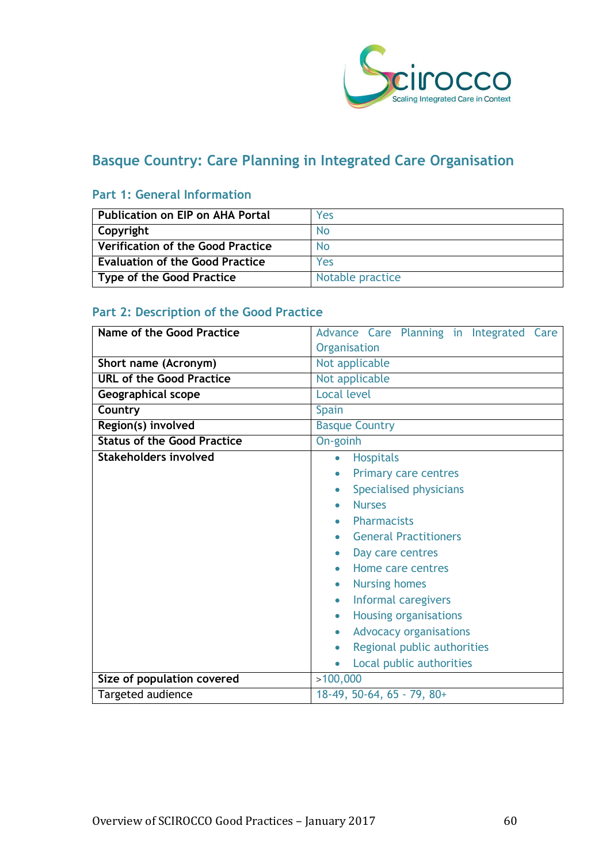

# **Basque Country: Care Planning in Integrated Care Organisation**

## **Part 1: General Information**

| Publication on EIP on AHA Portal       | Yes              |
|----------------------------------------|------------------|
| Copyright                              | No.              |
| Verification of the Good Practice      | No               |
| <b>Evaluation of the Good Practice</b> | Yes              |
| Type of the Good Practice              | Notable practice |

# **Part 2: Description of the Good Practice**

| <b>Name of the Good Practice</b>   | Advance Care Planning in Integrated Care   |
|------------------------------------|--------------------------------------------|
|                                    | Organisation                               |
| Short name (Acronym)               | Not applicable                             |
| <b>URL of the Good Practice</b>    | Not applicable                             |
| <b>Geographical scope</b>          | <b>Local level</b>                         |
| Country                            | <b>Spain</b>                               |
| Region(s) involved                 | <b>Basque Country</b>                      |
| <b>Status of the Good Practice</b> | On-goinh                                   |
| <b>Stakeholders involved</b>       | <b>Hospitals</b><br>$\bullet$              |
|                                    | <b>Primary care centres</b><br>$\bullet$   |
|                                    | Specialised physicians<br>$\bullet$        |
|                                    | <b>Nurses</b><br>$\bullet$                 |
|                                    | <b>Pharmacists</b><br>$\bullet$            |
|                                    | <b>General Practitioners</b><br>$\bullet$  |
|                                    | Day care centres                           |
|                                    | Home care centres                          |
|                                    | <b>Nursing homes</b>                       |
|                                    | Informal caregivers<br>$\bullet$           |
|                                    | <b>Housing organisations</b><br>$\bullet$  |
|                                    | <b>Advocacy organisations</b><br>$\bullet$ |
|                                    | Regional public authorities<br>$\bullet$   |
|                                    | Local public authorities<br>$\bullet$      |
| Size of population covered         | >100,000                                   |
| Targeted audience                  | $18-49, 50-64, 65 - 79, 80+$               |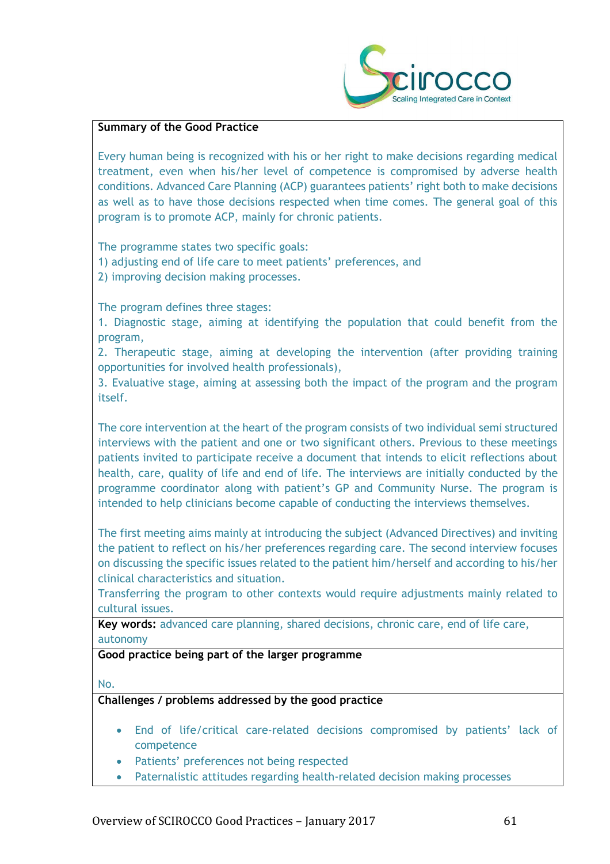

#### **Summary of the Good Practice**

Every human being is recognized with his or her right to make decisions regarding medical treatment, even when his/her level of competence is compromised by adverse health conditions. Advanced Care Planning (ACP) guarantees patients' right both to make decisions as well as to have those decisions respected when time comes. The general goal of this program is to promote ACP, mainly for chronic patients.

The programme states two specific goals:

- 1) adjusting end of life care to meet patients' preferences, and
- 2) improving decision making processes.

The program defines three stages:

1. Diagnostic stage, aiming at identifying the population that could benefit from the program,

2. Therapeutic stage, aiming at developing the intervention (after providing training opportunities for involved health professionals),

3. Evaluative stage, aiming at assessing both the impact of the program and the program itself.

The core intervention at the heart of the program consists of two individual semi structured interviews with the patient and one or two significant others. Previous to these meetings patients invited to participate receive a document that intends to elicit reflections about health, care, quality of life and end of life. The interviews are initially conducted by the programme coordinator along with patient's GP and Community Nurse. The program is intended to help clinicians become capable of conducting the interviews themselves.

The first meeting aims mainly at introducing the subject (Advanced Directives) and inviting the patient to reflect on his/her preferences regarding care. The second interview focuses on discussing the specific issues related to the patient him/herself and according to his/her clinical characteristics and situation.

Transferring the program to other contexts would require adjustments mainly related to cultural issues.

**Key words:** advanced care planning, shared decisions, chronic care, end of life care, autonomy

#### **Good practice being part of the larger programme**

No.

**Challenges / problems addressed by the good practice**

- End of life/critical care-related decisions compromised by patients' lack of competence
- Patients' preferences not being respected
- Paternalistic attitudes regarding health-related decision making processes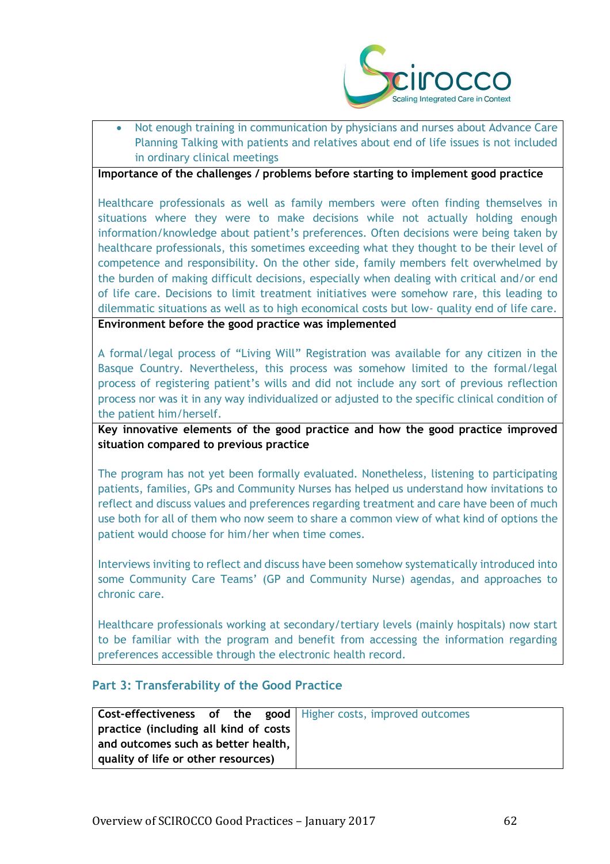

• Not enough training in communication by physicians and nurses about Advance Care Planning Talking with patients and relatives about end of life issues is not included in ordinary clinical meetings

#### **Importance of the challenges / problems before starting to implement good practice**

Healthcare professionals as well as family members were often finding themselves in situations where they were to make decisions while not actually holding enough information/knowledge about patient's preferences. Often decisions were being taken by healthcare professionals, this sometimes exceeding what they thought to be their level of competence and responsibility. On the other side, family members felt overwhelmed by the burden of making difficult decisions, especially when dealing with critical and/or end of life care. Decisions to limit treatment initiatives were somehow rare, this leading to dilemmatic situations as well as to high economical costs but low- quality end of life care. **Environment before the good practice was implemented** 

A formal/legal process of "Living Will" Registration was available for any citizen in the Basque Country. Nevertheless, this process was somehow limited to the formal/legal process of registering patient's wills and did not include any sort of previous reflection process nor was it in any way individualized or adjusted to the specific clinical condition of the patient him/herself.

**Key innovative elements of the good practice and how the good practice improved situation compared to previous practice**

The program has not yet been formally evaluated. Nonetheless, listening to participating patients, families, GPs and Community Nurses has helped us understand how invitations to reflect and discuss values and preferences regarding treatment and care have been of much use both for all of them who now seem to share a common view of what kind of options the patient would choose for him/her when time comes.

Interviews inviting to reflect and discuss have been somehow systematically introduced into some Community Care Teams' (GP and Community Nurse) agendas, and approaches to chronic care.

Healthcare professionals working at secondary/tertiary levels (mainly hospitals) now start to be familiar with the program and benefit from accessing the information regarding preferences accessible through the electronic health record.

#### **Part 3: Transferability of the Good Practice**

|                                       | <b>Cost-effectiveness of the good</b>   Higher costs, improved outcomes |
|---------------------------------------|-------------------------------------------------------------------------|
| practice (including all kind of costs |                                                                         |
| and outcomes such as better health,   |                                                                         |
| quality of life or other resources)   |                                                                         |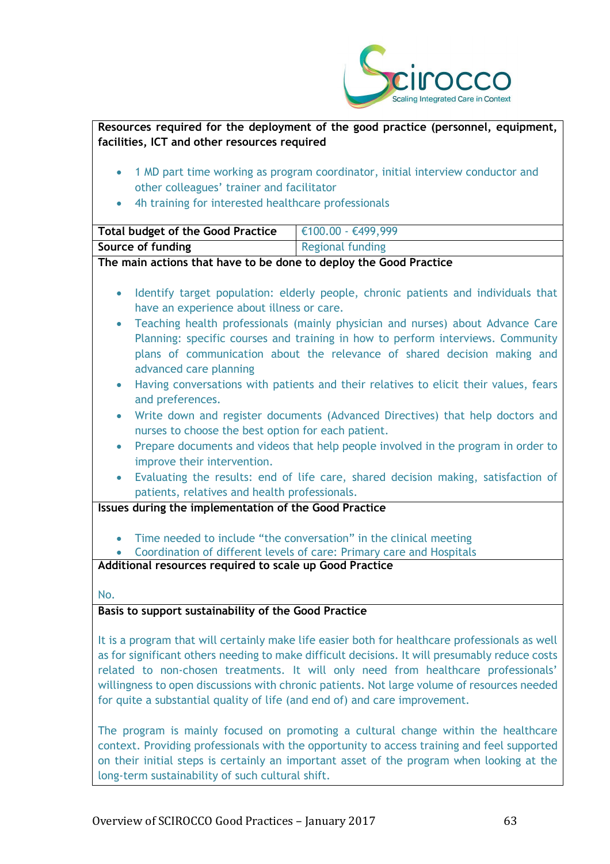

| facilities, ICT and other resources required                                                   | Resources required for the deployment of the good practice (personnel, equipment,              |  |
|------------------------------------------------------------------------------------------------|------------------------------------------------------------------------------------------------|--|
|                                                                                                |                                                                                                |  |
| $\bullet$                                                                                      | 1 MD part time working as program coordinator, initial interview conductor and                 |  |
| other colleagues' trainer and facilitator                                                      |                                                                                                |  |
| 4h training for interested healthcare professionals                                            |                                                                                                |  |
| <b>Total budget of the Good Practice</b>                                                       | €100.00 - €499,999                                                                             |  |
| Source of funding                                                                              | <b>Regional funding</b>                                                                        |  |
| The main actions that have to be done to deploy the Good Practice                              |                                                                                                |  |
|                                                                                                |                                                                                                |  |
| $\bullet$                                                                                      | Identify target population: elderly people, chronic patients and individuals that              |  |
| have an experience about illness or care.                                                      |                                                                                                |  |
| $\bullet$                                                                                      | Teaching health professionals (mainly physician and nurses) about Advance Care                 |  |
|                                                                                                | Planning: specific courses and training in how to perform interviews. Community                |  |
|                                                                                                | plans of communication about the relevance of shared decision making and                       |  |
| advanced care planning                                                                         |                                                                                                |  |
| $\bullet$                                                                                      | Having conversations with patients and their relatives to elicit their values, fears           |  |
| and preferences.                                                                               |                                                                                                |  |
| $\bullet$<br>nurses to choose the best option for each patient.                                | Write down and register documents (Advanced Directives) that help doctors and                  |  |
|                                                                                                | Prepare documents and videos that help people involved in the program in order to              |  |
| $\bullet$<br>improve their intervention.                                                       |                                                                                                |  |
| $\bullet$                                                                                      | Evaluating the results: end of life care, shared decision making, satisfaction of              |  |
| patients, relatives and health professionals.                                                  |                                                                                                |  |
| Issues during the implementation of the Good Practice                                          |                                                                                                |  |
|                                                                                                | Time needed to include "the conversation" in the clinical meeting                              |  |
|                                                                                                | Coordination of different levels of care: Primary care and Hospitals                           |  |
| Additional resources required to scale up Good Practice                                        |                                                                                                |  |
|                                                                                                |                                                                                                |  |
| No.                                                                                            |                                                                                                |  |
| Basis to support sustainability of the Good Practice                                           |                                                                                                |  |
|                                                                                                | It is a program that will certainly make life easier both for healthcare professionals as well |  |
| as for significant others needing to make difficult decisions. It will presumably reduce costs |                                                                                                |  |
|                                                                                                | related to non-chosen treatments. It will only need from healthcare professionals'             |  |

The program is mainly focused on promoting a cultural change within the healthcare context. Providing professionals with the opportunity to access training and feel supported on their initial steps is certainly an important asset of the program when looking at the long-term sustainability of such cultural shift.

willingness to open discussions with chronic patients. Not large volume of resources needed

for quite a substantial quality of life (and end of) and care improvement.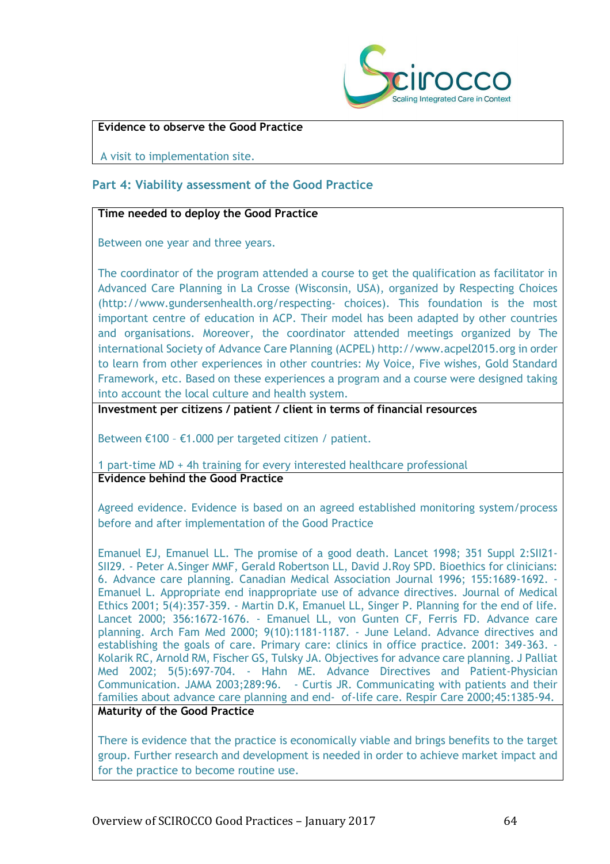

#### **Evidence to observe the Good Practice**

A visit to implementation site.

### **Part 4: Viability assessment of the Good Practice**

#### **Time needed to deploy the Good Practice**

Between one year and three years.

The coordinator of the program attended a course to get the qualification as facilitator in Advanced Care Planning in La Crosse (Wisconsin, USA), organized by Respecting Choices (http://www.gundersenhealth.org/respecting- choices). This foundation is the most important centre of education in ACP. Their model has been adapted by other countries and organisations. Moreover, the coordinator attended meetings organized by The international Society of Advance Care Planning (ACPEL) http://www.acpel2015.org in order to learn from other experiences in other countries: My Voice, Five wishes, Gold Standard Framework, etc. Based on these experiences a program and a course were designed taking into account the local culture and health system.

**Investment per citizens / patient / client in terms of financial resources**

Between €100 – €1.000 per targeted citizen / patient.

1 part-time MD + 4h training for every interested healthcare professional **Evidence behind the Good Practice**

Agreed evidence. Evidence is based on an agreed established monitoring system/process before and after implementation of the Good Practice

Emanuel EJ, Emanuel LL. The promise of a good death. Lancet 1998; 351 Suppl 2:SII21- SII29. - Peter A.Singer MMF, Gerald Robertson LL, David J.Roy SPD. Bioethics for clinicians: 6. Advance care planning. Canadian Medical Association Journal 1996; 155:1689-1692. - Emanuel L. Appropriate end inappropriate use of advance directives. Journal of Medical Ethics 2001; 5(4):357-359. - Martin D.K, Emanuel LL, Singer P. Planning for the end of life. Lancet 2000; 356:1672-1676. - Emanuel LL, von Gunten CF, Ferris FD. Advance care planning. Arch Fam Med 2000; 9(10):1181-1187. - June Leland. Advance directives and establishing the goals of care. Primary care: clinics in office practice. 2001: 349-363. - Kolarik RC, Arnold RM, Fischer GS, Tulsky JA. Objectives for advance care planning. J Palliat Med 2002; 5(5):697-704. - Hahn ME. Advance Directives and Patient-Physician Communication. JAMA 2003;289:96. - Curtis JR. Communicating with patients and their families about advance care planning and end- of-life care. Respir Care 2000;45:1385-94. **Maturity of the Good Practice**

There is evidence that the practice is economically viable and brings benefits to the target group. Further research and development is needed in order to achieve market impact and for the practice to become routine use.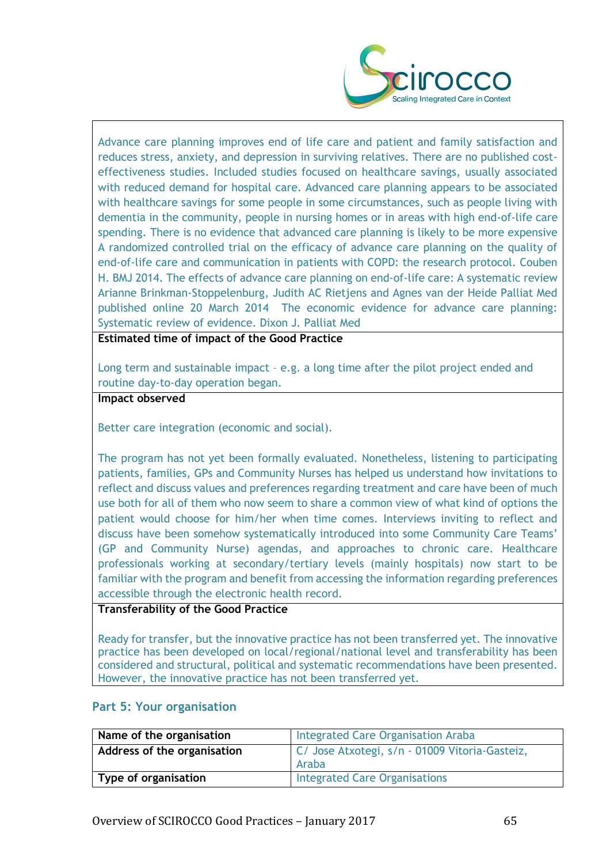

Advance care planning improves end of life care and patient and family satisfaction and reduces stress, anxiety, and depression in surviving relatives. There are no published costeffectiveness studies. Included studies focused on healthcare savings, usually associated with reduced demand for hospital care. Advanced care planning appears to be associated with healthcare savings for some people in some circumstances, such as people living with dementia in the community, people in nursing homes or in areas with high end-of-life care spending. There is no evidence that advanced care planning is likely to be more expensive A randomized controlled trial on the efficacy of advance care planning on the quality of end-of-life care and communication in patients with COPD: the research protocol. Couben H. BMJ 2014. The effects of advance care planning on end-of-life care: A systematic review Arianne Brinkman-Stoppelenburg, Judith AC Rietjens and Agnes van der Heide Palliat Med published online 20 March 2014 The economic evidence for advance care planning: Systematic review of evidence. Dixon J. Palliat Med

**Estimated time of impact of the Good Practice**

Long term and sustainable impact – e.g. a long time after the pilot project ended and routine day-to-day operation began.

**Impact observed**

Better care integration (economic and social).

The program has not yet been formally evaluated. Nonetheless, listening to participating patients, families, GPs and Community Nurses has helped us understand how invitations to reflect and discuss values and preferences regarding treatment and care have been of much use both for all of them who now seem to share a common view of what kind of options the patient would choose for him/her when time comes. Interviews inviting to reflect and discuss have been somehow systematically introduced into some Community Care Teams' (GP and Community Nurse) agendas, and approaches to chronic care. Healthcare professionals working at secondary/tertiary levels (mainly hospitals) now start to be familiar with the program and benefit from accessing the information regarding preferences accessible through the electronic health record.

#### **Transferability of the Good Practice**

Ready for transfer, but the innovative practice has not been transferred yet. The innovative practice has been developed on local/regional/national level and transferability has been considered and structural, political and systematic recommendations have been presented. However, the innovative practice has not been transferred yet.

#### **Part 5: Your organisation**

| Name of the organisation    | <b>Integrated Care Organisation Araba</b>               |
|-----------------------------|---------------------------------------------------------|
| Address of the organisation | C/ Jose Atxotegi, s/n - 01009 Vitoria-Gasteiz,<br>Araba |
| Type of organisation        | <b>Integrated Care Organisations</b>                    |